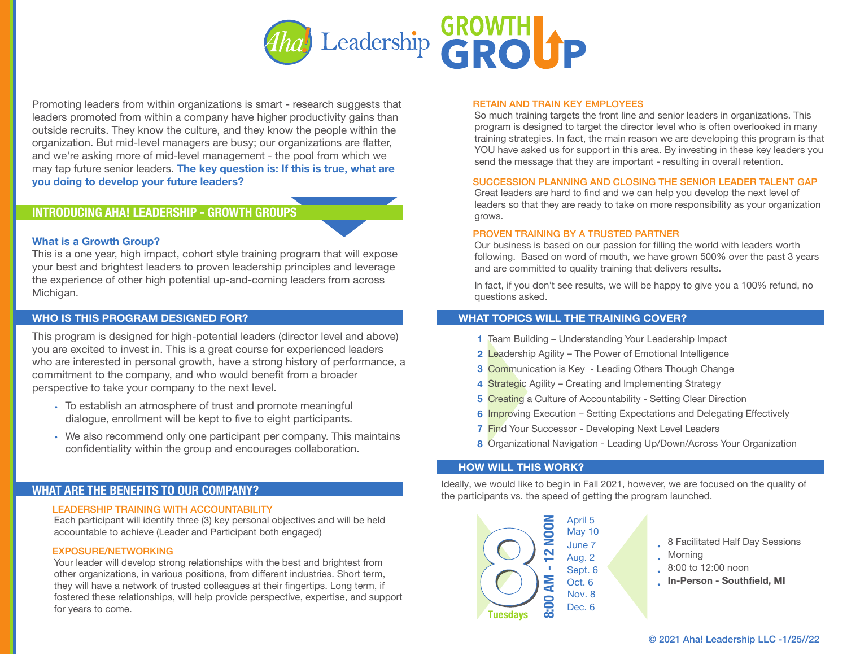

Promoting leaders from within organizations is smart - research suggests that leaders promoted from within a company have higher productivity gains than outside recruits. They know the culture, and they know the people within the organization. But mid-level managers are busy; our organizations are flatter, and we're asking more of mid-level management - the pool from which we may tap future senior leaders. **The key question is: If this is true, what are you doing to develop your future leaders?** 

# **INTRODUCING AHA! LEADERSHIP - GROWTH GROUPS**

# **What is a Growth Group?**

This is a one year, high impact, cohort style training program that will expose your best and brightest leaders to proven leadership principles and leverage the experience of other high potential up-and-coming leaders from across Michigan.

This program is designed for high-potential leaders (director level and above) you are excited to invest in. This is a great course for experienced leaders who are interested in personal growth, have a strong history of performance, a commitment to the company, and who would benefit from a broader perspective to take your company to the next level.

- To establish an atmosphere of trust and promote meaningful dialogue, enrollment will be kept to five to eight participants.
- We also recommend only one participant per company. This maintains confidentiality within the group and encourages collaboration.

# **WHAT ARE THE BENEFITS TO OUR COMPANY?**

## LEADERSHIP TRAINING WITH ACCOUNTABILITY

Each participant will identify three (3) key personal objectives and will be held accountable to achieve (Leader and Participant both engaged)

## EXPOSURE/NETWORKING

Your leader will develop strong relationships with the best and brightest from other organizations, in various positions, from different industries. Short term, they will have a network of trusted colleagues at their fingertips. Long term, if fostered these relationships, will help provide perspective, expertise, and support for years to come.

#### RETAIN AND TRAIN KEY EMPLOYEES

So much training targets the front line and senior leaders in organizations. This program is designed to target the director level who is often overlooked in many training strategies. In fact, the main reason we are developing this program is that YOU have asked us for support in this area. By investing in these key leaders you send the message that they are important - resulting in overall retention.

### SUCCESSION PLANNING AND CLOSING THE SENIOR LEADER TALENT GAP

Great leaders are hard to find and we can help you develop the next level of leaders so that they are ready to take on more responsibility as your organization grows.

### PROVEN TRAINING BY A TRUSTED PARTNER

Our business is based on our passion for filling the world with leaders worth following. Based on word of mouth, we have grown 500% over the past 3 years and are committed to quality training that delivers results.

In fact, if you don't see results, we will be happy to give you a 100% refund, no questions asked.

## **WHO IS THIS PROGRAM DESIGNED FOR? WHAT TOPICS WILL THE TRAINING COVER?**

- Team Building Understanding Your Leadership Impact **1**
- Leadership Agility The Power of Emotional Intelligence **2**
- Communication is Key Leading Others Though Change **3**
- Strategic Agility Creating and Implementing Strategy **4**
- Creating a Culture of Accountability Setting Clear Direction **5**
- **6** Improving Execution Setting Expectations and Delegating Effectively
- Find Your Successor Developing Next Level Leaders **7**
- Organizational Navigation Leading Up/Down/Across Your Organization **8**

## **HOW WILL THIS WORK?**

Ideally, we would like to begin in Fall 2021, however, we are focused on the quality of the participants vs. the speed of getting the program launched.



- 8 Facilitated Half Day Sessions
- Morning
- 8:00 to 12:00 noon
- **In-Person Southfield, MI**